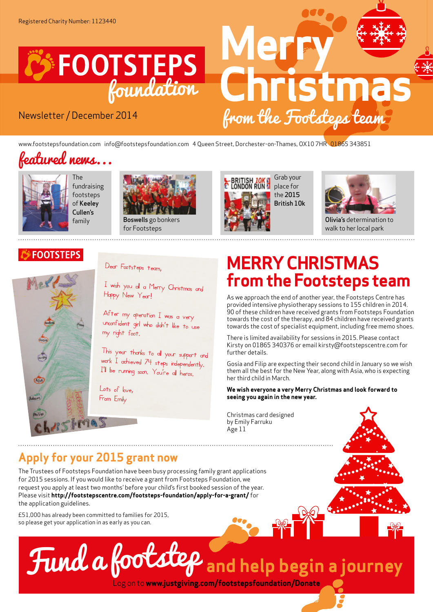

## Newsletter / December 2014

 **Merry Christmas** from the Footsteps team

www.footstepsfoundation.com info@footstepsfoundation.com 4 Queen Street, Dorchester-on-Thames, OX10 7HR 01865 343851

## featured news...



The fundraising footsteps of Keeley Cullen's



family **Boswells** go bonkers for Footsteps





Olivia's determination to walk to her local park

## **FOOTSTEPS**



Dear Footsteps team,

 $I$  wish you all a Merry Christmas and Happy New Year!

After my operation I was a very unconf ident girl who didn't like to use my right foot.

This year thanks to all your support and work I achieved 74 steps independently. <sup>I</sup>'ll be running soon. You're all heros.

Lots of love, From Emily

## **MERRY CHRISTMAS from the Footsteps team**

As we approach the end of another year, the Footsteps Centre has provided intensive physiotherapy sessions to 155 children in 2014. 90 of these children have received grants from Footsteps Foundation towards the cost of the therapy, and 84 children have received grants towards the cost of specialist equipment, including free memo shoes.

There is limited availability for sessions in 2015. Please contact Kirsty on 01865 340376 or email kirsty@footstepscentre.com for further details.

Gosia and Filip are expecting their second child in January so we wish them all the best for the New Year, along with Asia, who is expecting her third child in March.

**We wish everyone a very Merry Christmas and look forward to seeing you again in the new year.**

Christmas card designed by Emily Farruku Age 11

## **Apply for your 2015 grant now**

The Trustees of Footsteps Foundation have been busy processing family grant applications for 2015 sessions. If you would like to receive a grant from Footsteps Foundation, we request you apply at least two months' before your child's first booked session of the year. Please visit **http://footstepscentre.com/footsteps-foundation/apply-for-a-grant/** for the application guidelines.

£51,000 has already been committed to families for 2015, so please get your application in as early as you can.

# Fund a footstep **and help begin a journey**

Log on to **www.justgiving.com/footstepsfoundation/Donate**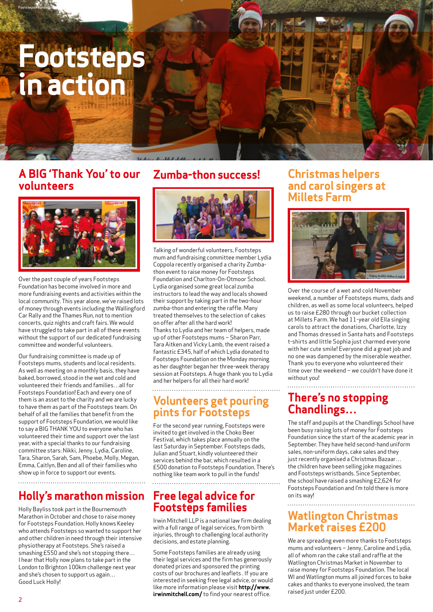## **Footsteps in action**

Footsteps Foundation

## **A BIG 'Thank You' to our volunteers**



Over the past couple of years Footsteps Foundation has become involved in more and more fundraising events and activities within the local community. This year alone, we've raised lots of money through events including the Wallingford Car Rally and the Thames Run, not to mention concerts, quiz nights and craft fairs. We would have struggled to take part in all of these events without the support of our dedicated fundraising committee and wonderful volunteers.

Our fundraising committee is made up of Footsteps mums, students and local residents. As well as meeting on a monthly basis, they have baked, borrowed, stood in the wet and cold and volunteered their friends and families…all for Footsteps Foundation! Each and every one of them is an asset to the charity and we are lucky to have them as part of the Footsteps team. On behalf of all the families that benefit from the support of Footsteps Foundation, we would like to say a BIG THANK YOU to everyone who has volunteered their time and support over the last year, with a special thanks to our fundraising committee stars: Nikki, Jenny, Lydia, Caroline, Tara, Sharon, Sarah, Sam, Phoebe, Molly, Megan, Emma, Caitlyn, Ben and all of their families who show up in force to support our events.

## **Holly's marathon mission**

Holly Bayliss took part in the Bournemouth Marathon in October and chose to raise money for Footsteps Foundation. Holly knows Keeley who attends Footsteps so wanted to support her and other children in need through their intensive physiotherapy at Footsteps. She's raised a smashing £550 and she's not stopping there… I hear that Holly now plans to take part in the London to Brighton 100km challenge next year and she's chosen to support us again… Good Luck Holly!

## **Zumba-thon success!**



Talking of wonderful volunteers, Footsteps mum and fundraising committee member Lydia Coppola recently organised a charity Zumbathon event to raise money for Footsteps Foundation and Charlton-On-Otmoor School. Lydia organised some great local zumba instructors to lead the way and locals showed their support by taking part in the two-hour zumba-thon and entering the raffle. Many treated themselves to the selection of cakes on offer after all the hard work! Thanks to Lydia and her team of helpers, made up of other Footsteps mums – Sharon Parr, Tara Aitken and Vicky Lamb, the event raised a fantastic £345, half of which Lydia donated to Footsteps Foundation on the Monday morning as her daughter began her three-week therapy session at Footsteps. A huge thank you to Lydia and her helpers for all their hard work!

## **Volunteers get pouring pints for Footsteps**

For the second year running, Footsteps were invited to get involved in the Choko Beer Festival, which takes place annually on the last Saturday in September. Footsteps dads, Julian and Stuart, kindly volunteered their services behind the bar, which resulted in a £500 donation to Footsteps Foundation. There's nothing like team work to pull in the funds!

## **Free legal advice for Footsteps families**

Irwin Mitchell LLP is a national law firm dealing with a full range of legal services, from birth injuries, through to challenging local authority decisions, and estate planning.

Some Footsteps families are already using their legal services and the firm has generously donated prizes and sponsored the printing costs of our brochures and leaflets . If you are interested in seeking free legal advice, or would like more information please visit **http://www. irwinmitchell.com/** to find your nearest office.

## **Christmas helpers and carol singers at Millets Farm**



Over the course of a wet and cold November weekend, a number of Footsteps mums, dads and children, as well as some local volunteers, helped us to raise £280 through our bucket collection at Millets Farm. We had 11-year old Ella singing carols to attract the donations, Charlotte, Izzy and Thomas dressed in Santa hats and Footsteps t-shirts and little Sophia just charmed everyone with her cute smile! Everyone did a great job and no one was dampened by the miserable weather. Thank you to everyone who volunteered their time over the weekend – we couldn't have done it without you!

## **There's no stopping Chandlings…**

The staff and pupils at the Chandlings School have been busy raising lots of money for Footsteps Foundation since the start of the academic year in September. They have held second-hand uniform sales, non-uniform days, cake sales and they just recently organised a Christmas Bazaar… the children have been selling joke magazines and Footsteps wristbands. Since September, the school have raised a smashing £2,624 for Footsteps Foundation and I'm told there is more on its way!

## **Watlington Christmas Market raises £200**

We are spreading even more thanks to Footsteps mums and volunteers – Jenny, Caroline and Lydia, all of whom ran the cake stall and raffle at the Watlington Christmas Market in November to raise money for Footsteps Foundation. The local WI and Watlington mums all joined forces to bake cakes and thanks to everyone involved, the team raised just under £200.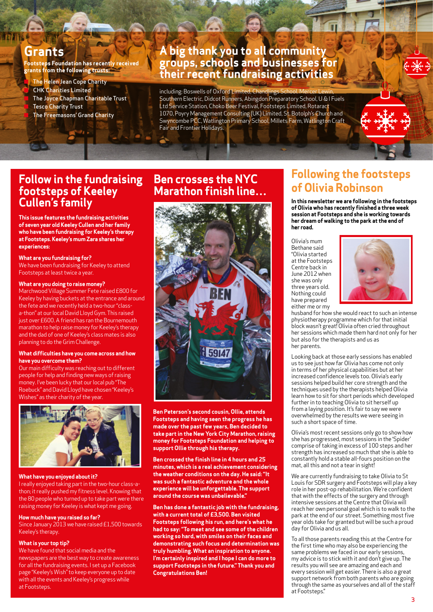## **Grants**

**Footsteps Foundation has recently received grants from the following trusts:**

**The Helen Jean Cope Charity CHK Charities Limited** The Joyce Chapman Charitable Trust **Tesco Charity Trust** The Freemasons' Grand Charity

## **A big thank you to all community groups, schools and businesses for their recent fundraising activities**

including: Boswells of Oxford Limited, Chandlings School. Mercer Lewin, Southern Electric, Didcot Runners, Abingdon Preparatory School, U & I Fuels Ltd Service Station, Choko Beer Festival, Footsteps Limited, Rotaract 1070, Poyry Management Consulting (UK) Limited, St. Botolph's Church and Swyncombe PCC, Watlington Primary School, Millets Farm, Watlington Craft Fair and Frontier Holidays.

## **Follow in the fundraising footsteps of Keeley Cullen's family**

**This issue features the fundraising activities of seven year old Keeley Cullen and her family who have been fundraising for Keeley's therapy at Footsteps. Keeley's mum Zara shares her experiences:** 

**What are you fundraising for?**  We have been fundraising for Keeley to attend Footsteps at least twice a year.

#### **What are you doing to raise money?**

Marchwood Village Summer Fete raised £800 for Keeley by having buckets at the entrance and around the fete and we recently held a two-hour "classa-thon" at our local David Lloyd Gym. This raised just over £600. A friend has ran the Bournemouth marathon to help raise money for Keeley's therapy and the dad of one of Keeley's class mates is also planning to do the Grim Challenge.

#### **What difficulties have you come across and how have you overcome them?**

Our main difficulty was reaching out to different people for help and finding new ways of raising money. I've been lucky that our local pub "The Roebuck" and David Lloyd have chosen "Keeley's Wishes" as their charity of the year.



#### **What have you enjoyed about it?**

I really enjoyed taking part in the two-hour class-athon; it really pushed my fitness level. Knowing that the 80 people who turned up to take part were there raising money for Keeley is what kept me going.

#### **How much have you raised so far?**

Since January 2013 we have raised £1,500 towards Keeley's therapy.

#### **What is your top tip?**

We have found that social media and the newspapers are the best way to create awareness for all the fundraising events. I set up a Facebook page "Keeley's Wish" to keep everyone up to date with all the events and Keeley's progress while at Footsteps.

## **Ben crosses the NYC Marathon finish line…**



**Ben Peterson's second cousin, Ollie, attends Footsteps and having seen the progress he has made over the past few years, Ben decided to take part in the New York City Marathon, raising money for Footsteps Foundation and helping to support Ollie through his therapy.**

**Ben crossed the finish line in 4 hours and 25 minutes, which is a real achievement considering the weather conditions on the day. He said: "It was such a fantastic adventure and the whole experience will be unforgettable. The support around the course was unbelievable."**

**Ben has done a fantastic job with the fundraising, with a current total of £3,500. Ben visited Footsteps following his run, and here's what he had to say: "To meet and see some of the children working so hard, with smiles on their faces and demonstrating such focus and determination was truly humbling. What an inspiration to anyone. I'm certainly inspired and I hope I can do more to support Footsteps in the future." Thank you and Congratulations Ben!**

## **Following the footsteps of Olivia Robinson**

**In this newsletter we are following in the footsteps of Olivia who has recently finished a three week session at Footsteps and she is working towards her dream of walking to the park at the end of her road.**

Olivia's mum Bethane said "Olivia started at the Footsteps Centre back in June 2012 when she was only three years old. Nothing could have prepared either me or my



husband for how she would react to such an intense physiotherapy programme which for that initial block wasn't great! Olivia often cried throughout her sessions which made them hard not only for her but also for the therapists and us as her parents.

Looking back at those early sessions has enabled us to see just how far Olivia has come not only in terms of her physical capabilities but at her increased confidence levels too. Olivia's early sessions helped build her core strength and the techniques used by the therapists helped Olivia learn how to sit for short periods which developed further in to teaching Olivia to sit herself up from a laying position. It's fair to say we were overwhelmed by the results we were seeing in such a short space of time.

Olivia's most recent sessions only go to show how she has progressed, most sessions in the 'Spider' comprise of taking in excess of 100 steps and her strength has increased so much that she is able to constantly hold a stable all-fours position on the mat, all this and not a tear in sight!

We are currently fundraising to take Olivia to St Louis for SDR surgery and Footsteps will play a key role in her post-op rehabilitation. We're confident that with the effects of the surgery and through intensive sessions at the Centre that Olivia will reach her own personal goal which is to walk to the park at the end of our street. Something most five year olds take for granted but will be such a proud day for Olivia and us all.

To all those parents reading this at the Centre for the first time who may also be experiencing the same problems we faced in our early sessions, my advice is to stick with it and don't give up. The results you will see are amazing and each and every session will get easier. There is also a great support network from both parents who are going through the same as yourselves and all of the staff at Footsteps."